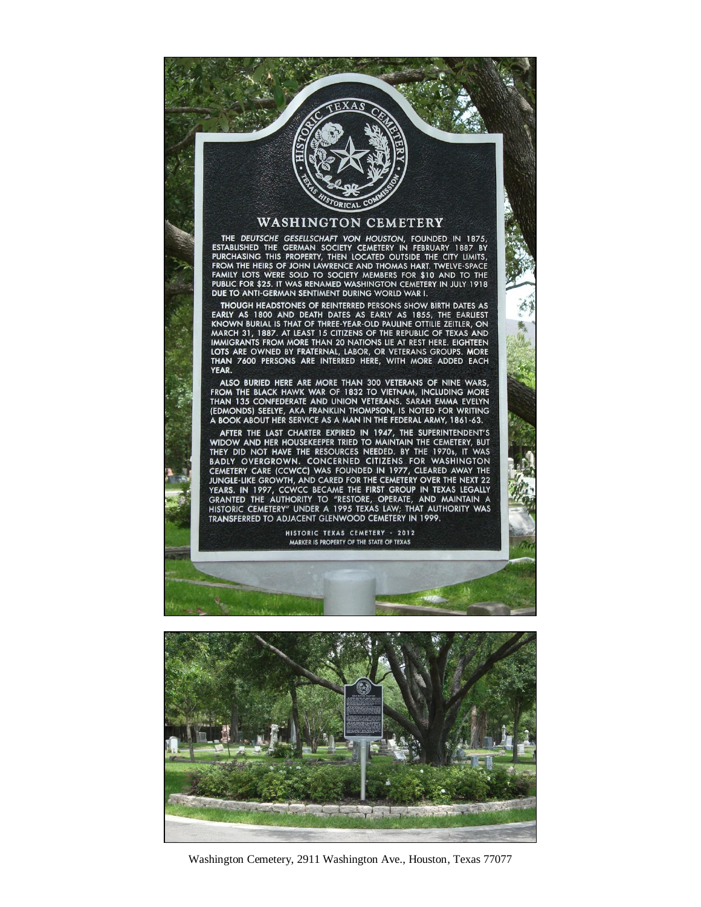#### WASHINGTON CEMETERY

THE DEUTSCHE GESELLSCHAFT VON HOUSTON, FOUNDED IN 1875, THE DEFINISHED THE GERMAN SOCIETY CEMETERY IN FEBRUARY 1887 BY<br>PURCHASING THIS PROPERTY, THEN LOCATED OUTSIDE THE CITY LIMITS,<br>FROM THE HEIRS OF JOHN LAWRENCE AND THOMAS HART. TWELVE-SPACE<br>FAMILY LOTS WERE SOLD TO SOCIETY DUE TO ANTI-GERMAN SENTIMENT DURING WORLD WAR I.

**THOUGH HEADSTONES OF REINTERRED PERSONS SHOW BIRTH DATES AS** EARLY AS 1800 AND DEATH DATES AS EARLY AS 1855, THE EARLIEST<br>KNOWN BURIAL IS THAT OF THREE-YEAR-OLD PAULINE OTTILIE ZEITLER, ON<br>MARCH 31, 1887. AT LEAST 15 CITIZENS OF THE REPUBLIC OF TEXAS AND<br>IMMIGRANTS FROM MORE THAN 20 LOTS ARE OWNED BY FRATERNAL, LABOR, OR VETERANS GROUPS. MORE THAN 7600 PERSONS ARE INTERRED HERE, WITH MORE ADDED EACH **YFAR** 

ALSO BURIED HERE ARE MORE THAN 300 VETERANS OF NINE WARS,<br>FROM THE BLACK HAWK WAR OF 1832 TO VIETNAM, INCLUDING MORE<br>THAN 135 CONFEDERATE AND UNION VETERANS. SARAH EMMA EVELYN<br>(EDMONDS) SEELYE, AKA FRANKLIN THOMPSON, IS NO

AFTER THE LAST CHARTER EXPIRED IN 1947, THE SUPERINTENDENT'S<br>WIDOW AND HER HOUSEKEEPER TRIED TO MAINTAIN THE CEMETERY, BUT<br>THEY DID NOT HAVE THE RESOURCES NEEDED. BY THE 1970s, IT WAS BADLY OVERGROWN. CONCERNED CITIZENS FOR WASHINGTON CEMETERY CARE (CCWCC) WAS FOUNDED IN 1977, CLEARED AWAY THE LEMETRY CARE (COWCU) WAS FOUNDED IN 1997, COUNTRY, CLEARED FOR THE CEMETERY OVER THE NEXT 22<br>YEARS. IN 1997, CCWCC BECAME THE FIRST GROUP IN TEXAS LEGALLY<br>GRANTED THE AUTHORITY TO "RESTORE, OPERATE, AND MAINTAIN A<br>HISTORIC TRANSFERRED TO ADJACENT GLENWOOD CEMETERY IN 1999.

> HISTORIC TEXAS CEMETERY - 2012 MARKER IS PROPERTY OF THE STATE OF TEXAS



Washington Cemetery, 2911 Washington Ave., Houston, Texas 77077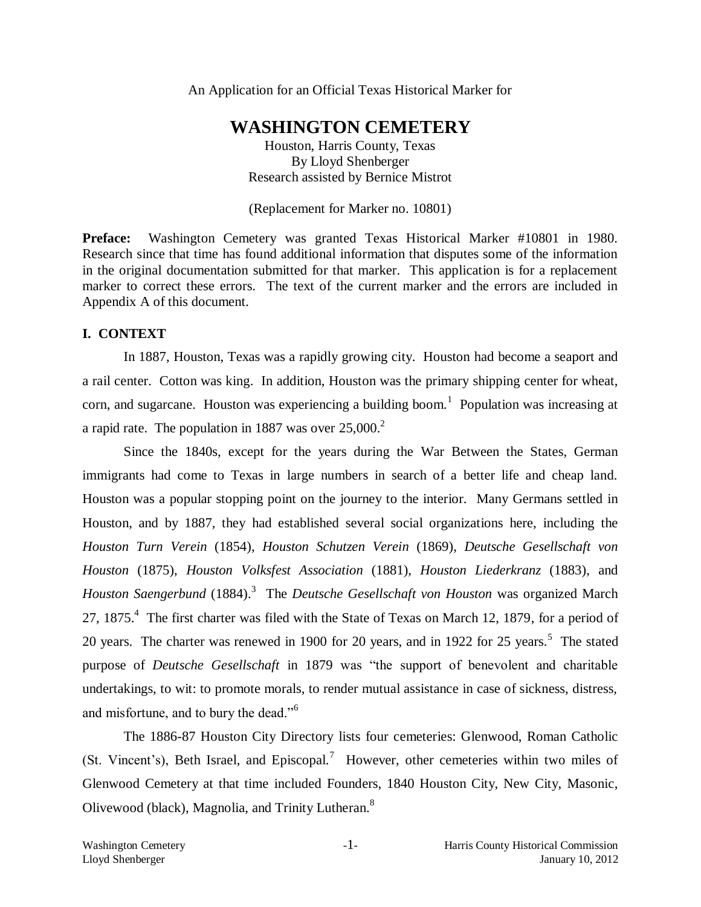An Application for an Official Texas Historical Marker for

# **WASHINGTON CEMETERY**

Houston, Harris County, Texas By Lloyd Shenberger Research assisted by Bernice Mistrot

(Replacement for Marker no. 10801)

**Preface:** Washington Cemetery was granted Texas Historical Marker #10801 in 1980. Research since that time has found additional information that disputes some of the information in the original documentation submitted for that marker. This application is for a replacement marker to correct these errors. The text of the current marker and the errors are included in Appendix A of this document.

#### **I. CONTEXT**

In 1887, Houston, Texas was a rapidly growing city. Houston had become a seaport and a rail center. Cotton was king. In addition, Houston was the primary shipping center for wheat, corn, and sugarcane. Houston was experiencing a building boom.<sup>1</sup> Population was increasing at a rapid rate. The population in 1887 was over  $25,000$ <sup>2</sup>

Since the 1840s, except for the years during the War Between the States, German immigrants had come to Texas in large numbers in search of a better life and cheap land. Houston was a popular stopping point on the journey to the interior. Many Germans settled in Houston, and by 1887, they had established several social organizations here, including the *Houston Turn Verein* (1854), *Houston Schutzen Verein* (1869), *Deutsche Gesellschaft von Houston* (1875), *Houston Volksfest Association* (1881), *Houston Liederkranz* (1883), and *Houston Saengerbund* (1884). 3 The *Deutsche Gesellschaft von Houston* was organized March 27, 1875.<sup>4</sup> The first charter was filed with the State of Texas on March 12, 1879, for a period of 20 years. The charter was renewed in 1900 for 20 years, and in 1922 for 25 years.<sup>5</sup> The stated purpose of *Deutsche Gesellschaft* in 1879 was "the support of benevolent and charitable undertakings, to wit: to promote morals, to render mutual assistance in case of sickness, distress, and misfortune, and to bury the dead."<sup>6</sup>

The 1886-87 Houston City Directory lists four cemeteries: Glenwood, Roman Catholic (St. Vincent's), Beth Israel, and Episcopal.<sup>7</sup> However, other cemeteries within two miles of Glenwood Cemetery at that time included Founders, 1840 Houston City, New City, Masonic, Olivewood (black), Magnolia, and Trinity Lutheran.<sup>8</sup>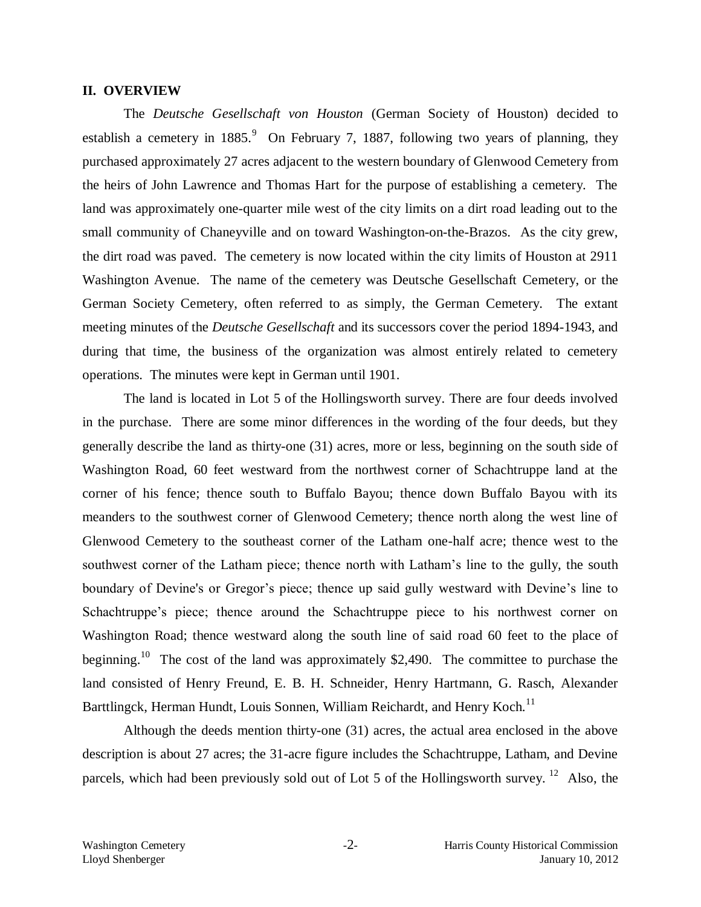#### **II. OVERVIEW**

The *Deutsche Gesellschaft von Houston* (German Society of Houston) decided to establish a cemetery in  $1885$ .<sup>9</sup> On February 7, 1887, following two years of planning, they purchased approximately 27 acres adjacent to the western boundary of Glenwood Cemetery from the heirs of John Lawrence and Thomas Hart for the purpose of establishing a cemetery. The land was approximately one-quarter mile west of the city limits on a dirt road leading out to the small community of Chaneyville and on toward Washington-on-the-Brazos. As the city grew, the dirt road was paved. The cemetery is now located within the city limits of Houston at 2911 Washington Avenue. The name of the cemetery was Deutsche Gesellschaft Cemetery, or the German Society Cemetery, often referred to as simply, the German Cemetery. The extant meeting minutes of the *Deutsche Gesellschaft* and its successors cover the period 1894-1943, and during that time, the business of the organization was almost entirely related to cemetery operations. The minutes were kept in German until 1901.

The land is located in Lot 5 of the Hollingsworth survey. There are four deeds involved in the purchase. There are some minor differences in the wording of the four deeds, but they generally describe the land as thirty-one (31) acres, more or less, beginning on the south side of Washington Road, 60 feet westward from the northwest corner of Schachtruppe land at the corner of his fence; thence south to Buffalo Bayou; thence down Buffalo Bayou with its meanders to the southwest corner of Glenwood Cemetery; thence north along the west line of Glenwood Cemetery to the southeast corner of the Latham one-half acre; thence west to the southwest corner of the Latham piece; thence north with Latham's line to the gully, the south boundary of Devine's or Gregor's piece; thence up said gully westward with Devine's line to Schachtruppe's piece; thence around the Schachtruppe piece to his northwest corner on Washington Road; thence westward along the south line of said road 60 feet to the place of beginning.<sup>10</sup> The cost of the land was approximately \$2,490. The committee to purchase the land consisted of Henry Freund, E. B. H. Schneider, Henry Hartmann, G. Rasch, Alexander Barttlingck, Herman Hundt, Louis Sonnen, William Reichardt, and Henry Koch.<sup>11</sup>

Although the deeds mention thirty-one (31) acres, the actual area enclosed in the above description is about 27 acres; the 31-acre figure includes the Schachtruppe, Latham, and Devine parcels, which had been previously sold out of Lot 5 of the Hollingsworth survey.<sup>12</sup> Also, the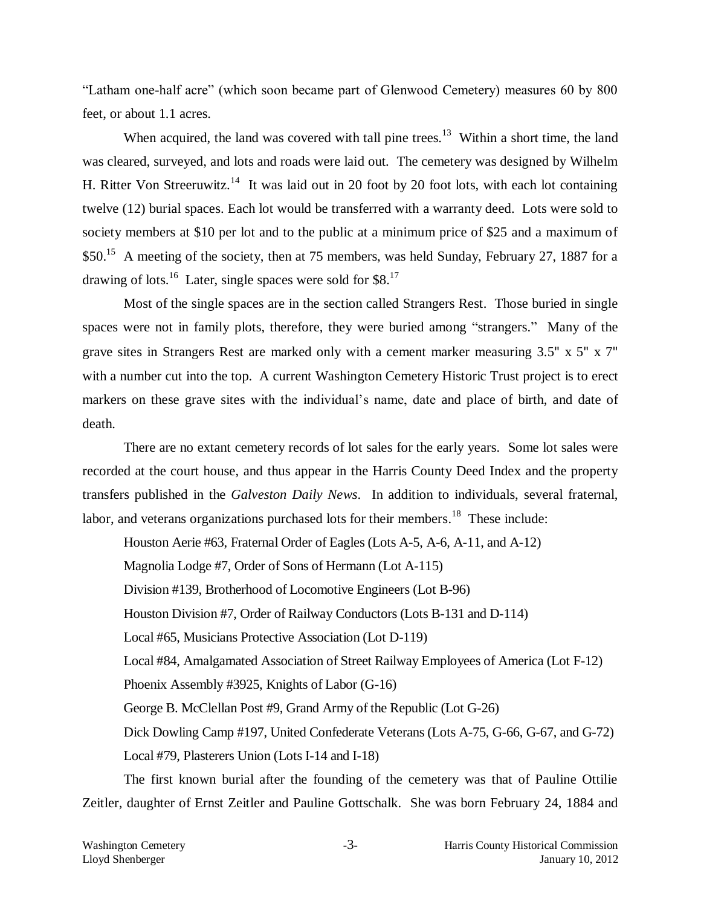"Latham one-half acre" (which soon became part of Glenwood Cemetery) measures 60 by 800 feet, or about 1.1 acres.

When acquired, the land was covered with tall pine trees.<sup>13</sup> Within a short time, the land was cleared, surveyed, and lots and roads were laid out. The cemetery was designed by Wilhelm H. Ritter Von Streeruwitz.<sup>14</sup> It was laid out in 20 foot by 20 foot lots, with each lot containing twelve (12) burial spaces. Each lot would be transferred with a warranty deed. Lots were sold to society members at \$10 per lot and to the public at a minimum price of \$25 and a maximum of \$50.<sup>15</sup> A meeting of the society, then at 75 members, was held Sunday, February 27, 1887 for a drawing of lots.<sup>16</sup> Later, single spaces were sold for \$8.<sup>17</sup>

Most of the single spaces are in the section called Strangers Rest. Those buried in single spaces were not in family plots, therefore, they were buried among "strangers." Many of the grave sites in Strangers Rest are marked only with a cement marker measuring 3.5" x 5" x 7" with a number cut into the top. A current Washington Cemetery Historic Trust project is to erect markers on these grave sites with the individual's name, date and place of birth, and date of death.

There are no extant cemetery records of lot sales for the early years. Some lot sales were recorded at the court house, and thus appear in the Harris County Deed Index and the property transfers published in the *Galveston Daily News*. In addition to individuals, several fraternal, labor, and veterans organizations purchased lots for their members.<sup>18</sup> These include:

Houston Aerie #63, Fraternal Order of Eagles (Lots A-5, A-6, A-11, and A-12) Magnolia Lodge #7, Order of Sons of Hermann (Lot A-115) Division #139, Brotherhood of Locomotive Engineers (Lot B-96) Houston Division #7, Order of Railway Conductors (Lots B-131 and D-114) Local #65, Musicians Protective Association (Lot D-119) Local #84, Amalgamated Association of Street Railway Employees of America (Lot F-12) Phoenix Assembly #3925, Knights of Labor (G-16) George B. McClellan Post #9, Grand Army of the Republic (Lot G-26) Dick Dowling Camp #197, United Confederate Veterans (Lots A-75, G-66, G-67, and G-72) Local #79, Plasterers Union (Lots I-14 and I-18)

The first known burial after the founding of the cemetery was that of Pauline Ottilie Zeitler, daughter of Ernst Zeitler and Pauline Gottschalk. She was born February 24, 1884 and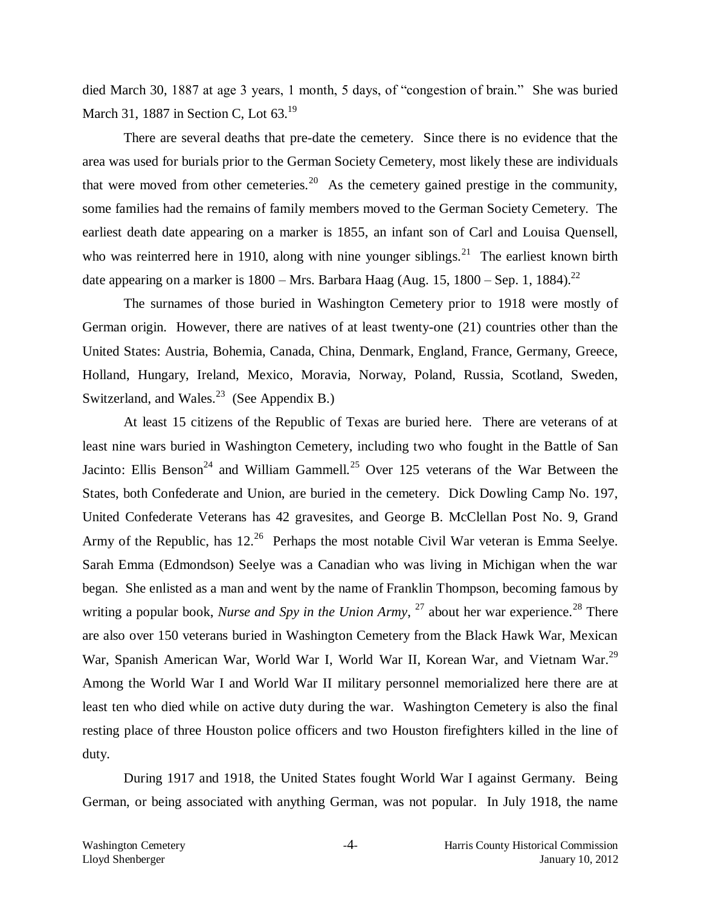died March 30, 1887 at age 3 years, 1 month, 5 days, of "congestion of brain." She was buried March 31, 1887 in Section C, Lot 63.<sup>19</sup>

There are several deaths that pre-date the cemetery. Since there is no evidence that the area was used for burials prior to the German Society Cemetery, most likely these are individuals that were moved from other cemeteries.<sup>20</sup> As the cemetery gained prestige in the community, some families had the remains of family members moved to the German Society Cemetery. The earliest death date appearing on a marker is 1855, an infant son of Carl and Louisa Quensell, who was reinterred here in 1910, along with nine younger siblings.<sup>21</sup> The earliest known birth date appearing on a marker is  $1800 - Mrs$ . Barbara Haag (Aug. 15, 1800 – Sep. 1, 1884).<sup>22</sup>

The surnames of those buried in Washington Cemetery prior to 1918 were mostly of German origin. However, there are natives of at least twenty-one (21) countries other than the United States: Austria, Bohemia, Canada, China, Denmark, England, France, Germany, Greece, Holland, Hungary, Ireland, Mexico, Moravia, Norway, Poland, Russia, Scotland, Sweden, Switzerland, and Wales.<sup>23</sup> (See Appendix B.)

At least 15 citizens of the Republic of Texas are buried here. There are veterans of at least nine wars buried in Washington Cemetery, including two who fought in the Battle of San Jacinto: Ellis Benson<sup>24</sup> and William Gammell.<sup>25</sup> Over 125 veterans of the War Between the States, both Confederate and Union, are buried in the cemetery. Dick Dowling Camp No. 197, United Confederate Veterans has 42 gravesites, and George B. McClellan Post No. 9, Grand Army of the Republic, has  $12^{26}$  Perhaps the most notable Civil War veteran is Emma Seelye. Sarah Emma (Edmondson) Seelye was a Canadian who was living in Michigan when the war began. She enlisted as a man and went by the name of Franklin Thompson, becoming famous by writing a popular book, *Nurse and Spy in the Union Army*, <sup>27</sup> about her war experience.<sup>28</sup> There are also over 150 veterans buried in Washington Cemetery from the Black Hawk War, Mexican War, Spanish American War, World War I, World War II, Korean War, and Vietnam War.<sup>29</sup> Among the World War I and World War II military personnel memorialized here there are at least ten who died while on active duty during the war. Washington Cemetery is also the final resting place of three Houston police officers and two Houston firefighters killed in the line of duty.

During 1917 and 1918, the United States fought World War I against Germany. Being German, or being associated with anything German, was not popular. In July 1918, the name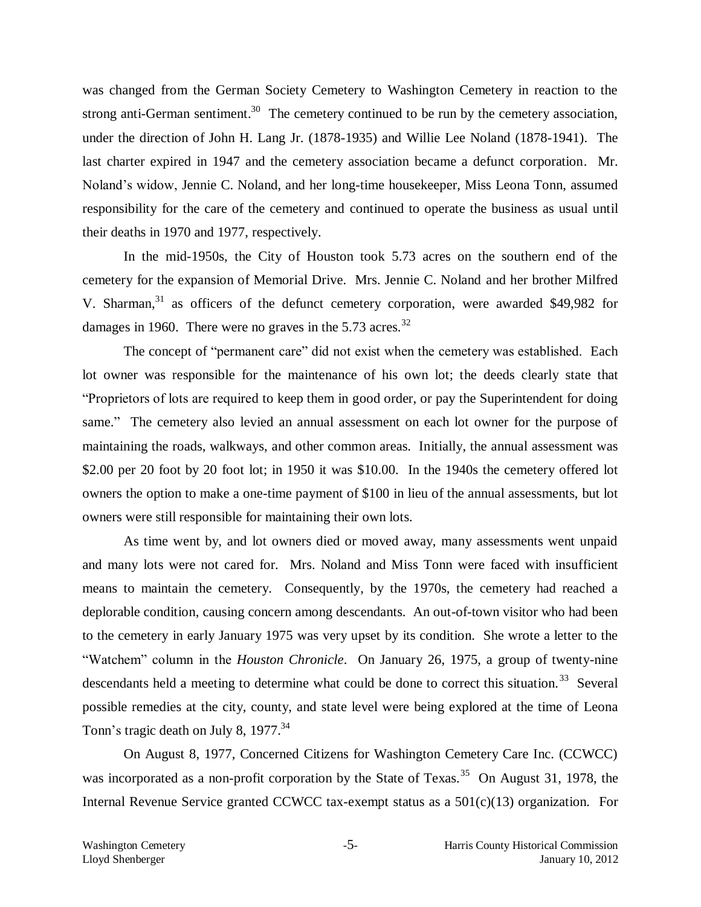was changed from the German Society Cemetery to Washington Cemetery in reaction to the strong anti-German sentiment.<sup>30</sup> The cemetery continued to be run by the cemetery association, under the direction of John H. Lang Jr. (1878-1935) and Willie Lee Noland (1878-1941). The last charter expired in 1947 and the cemetery association became a defunct corporation. Mr. Noland's widow, Jennie C. Noland, and her long-time housekeeper, Miss Leona Tonn, assumed responsibility for the care of the cemetery and continued to operate the business as usual until their deaths in 1970 and 1977, respectively.

In the mid-1950s, the City of Houston took 5.73 acres on the southern end of the cemetery for the expansion of Memorial Drive. Mrs. Jennie C. Noland and her brother Milfred V. Sharman,<sup>31</sup> as officers of the defunct cemetery corporation, were awarded \$49,982 for damages in 1960. There were no graves in the  $5.73$  acres.<sup>32</sup>

The concept of "permanent care" did not exist when the cemetery was established. Each lot owner was responsible for the maintenance of his own lot; the deeds clearly state that "Proprietors of lots are required to keep them in good order, or pay the Superintendent for doing same." The cemetery also levied an annual assessment on each lot owner for the purpose of maintaining the roads, walkways, and other common areas. Initially, the annual assessment was \$2.00 per 20 foot by 20 foot lot; in 1950 it was \$10.00. In the 1940s the cemetery offered lot owners the option to make a one-time payment of \$100 in lieu of the annual assessments, but lot owners were still responsible for maintaining their own lots.

As time went by, and lot owners died or moved away, many assessments went unpaid and many lots were not cared for. Mrs. Noland and Miss Tonn were faced with insufficient means to maintain the cemetery. Consequently, by the 1970s, the cemetery had reached a deplorable condition, causing concern among descendants. An out-of-town visitor who had been to the cemetery in early January 1975 was very upset by its condition. She wrote a letter to the "Watchem" column in the *Houston Chronicle*. On January 26, 1975, a group of twenty-nine descendants held a meeting to determine what could be done to correct this situation.<sup>33</sup> Several possible remedies at the city, county, and state level were being explored at the time of Leona Tonn's tragic death on July 8,  $1977.^{34}$ 

On August 8, 1977, Concerned Citizens for Washington Cemetery Care Inc. (CCWCC) was incorporated as a non-profit corporation by the State of Texas.<sup>35</sup> On August 31, 1978, the Internal Revenue Service granted CCWCC tax-exempt status as a 501(c)(13) organization. For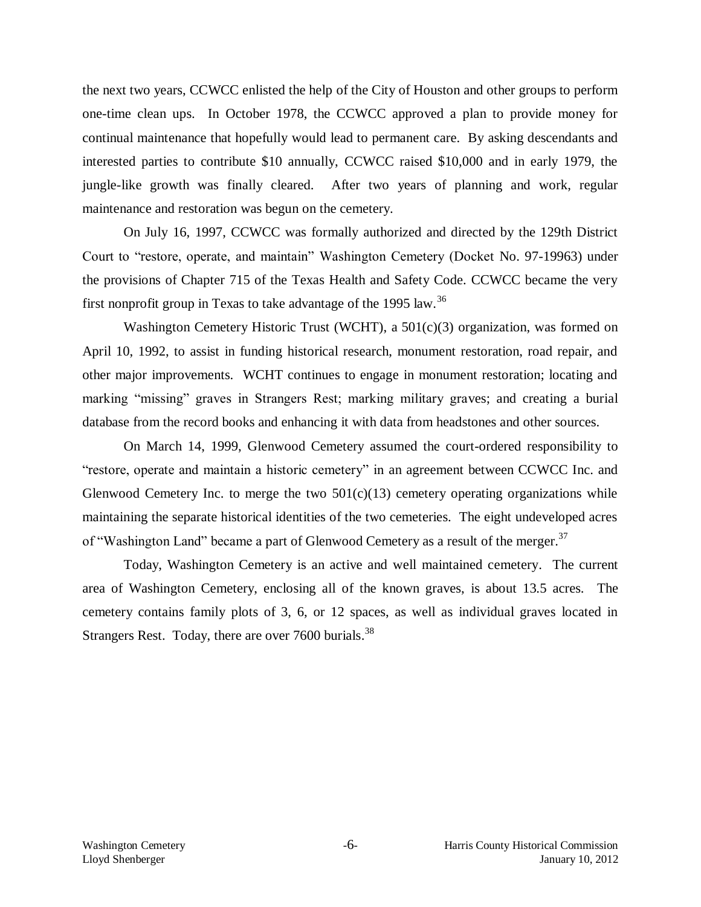the next two years, CCWCC enlisted the help of the City of Houston and other groups to perform one-time clean ups. In October 1978, the CCWCC approved a plan to provide money for continual maintenance that hopefully would lead to permanent care. By asking descendants and interested parties to contribute \$10 annually, CCWCC raised \$10,000 and in early 1979, the jungle-like growth was finally cleared. After two years of planning and work, regular maintenance and restoration was begun on the cemetery.

On July 16, 1997, CCWCC was formally authorized and directed by the 129th District Court to "restore, operate, and maintain" Washington Cemetery (Docket No. 97-19963) under the provisions of Chapter 715 of the Texas Health and Safety Code. CCWCC became the very first nonprofit group in Texas to take advantage of the 1995 law.<sup>36</sup>

Washington Cemetery Historic Trust (WCHT), a 501(c)(3) organization, was formed on April 10, 1992, to assist in funding historical research, monument restoration, road repair, and other major improvements. WCHT continues to engage in monument restoration; locating and marking "missing" graves in Strangers Rest; marking military graves; and creating a burial database from the record books and enhancing it with data from headstones and other sources.

On March 14, 1999, Glenwood Cemetery assumed the court-ordered responsibility to "restore, operate and maintain a historic cemetery" in an agreement between CCWCC Inc. and Glenwood Cemetery Inc. to merge the two  $501(c)(13)$  cemetery operating organizations while maintaining the separate historical identities of the two cemeteries. The eight undeveloped acres of "Washington Land" became a part of Glenwood Cemetery as a result of the merger.<sup>37</sup>

Today, Washington Cemetery is an active and well maintained cemetery. The current area of Washington Cemetery, enclosing all of the known graves, is about 13.5 acres. The cemetery contains family plots of 3, 6, or 12 spaces, as well as individual graves located in Strangers Rest. Today, there are over  $7600$  burials.<sup>38</sup>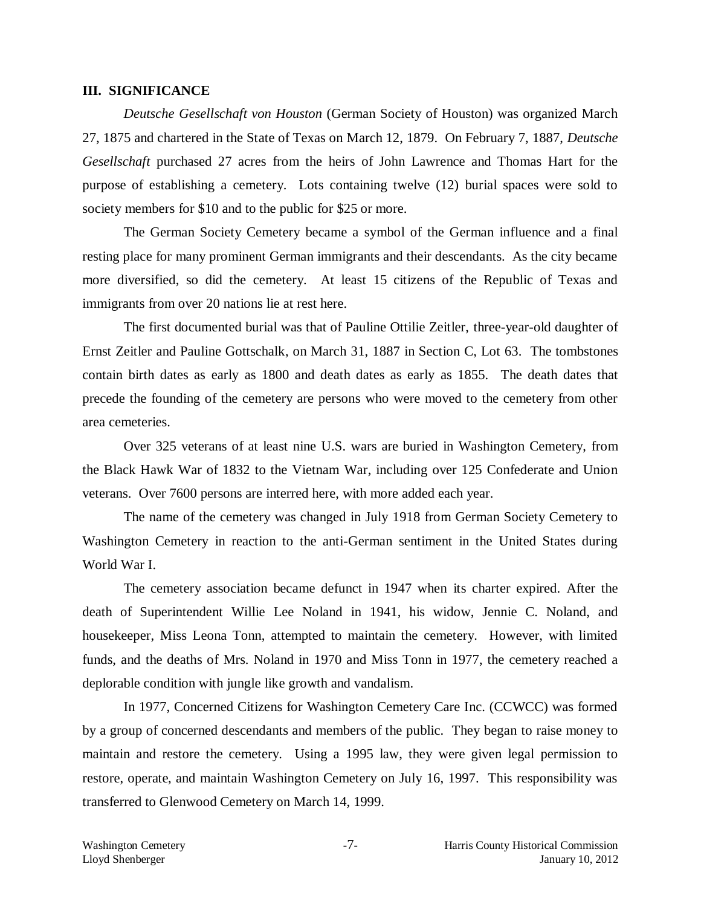#### **III. SIGNIFICANCE**

*Deutsche Gesellschaft von Houston* (German Society of Houston) was organized March 27, 1875 and chartered in the State of Texas on March 12, 1879. On February 7, 1887, *Deutsche Gesellschaft* purchased 27 acres from the heirs of John Lawrence and Thomas Hart for the purpose of establishing a cemetery. Lots containing twelve (12) burial spaces were sold to society members for \$10 and to the public for \$25 or more.

The German Society Cemetery became a symbol of the German influence and a final resting place for many prominent German immigrants and their descendants. As the city became more diversified, so did the cemetery. At least 15 citizens of the Republic of Texas and immigrants from over 20 nations lie at rest here.

The first documented burial was that of Pauline Ottilie Zeitler, three-year-old daughter of Ernst Zeitler and Pauline Gottschalk, on March 31, 1887 in Section C, Lot 63. The tombstones contain birth dates as early as 1800 and death dates as early as 1855. The death dates that precede the founding of the cemetery are persons who were moved to the cemetery from other area cemeteries.

Over 325 veterans of at least nine U.S. wars are buried in Washington Cemetery, from the Black Hawk War of 1832 to the Vietnam War, including over 125 Confederate and Union veterans. Over 7600 persons are interred here, with more added each year.

The name of the cemetery was changed in July 1918 from German Society Cemetery to Washington Cemetery in reaction to the anti-German sentiment in the United States during World War I.

The cemetery association became defunct in 1947 when its charter expired. After the death of Superintendent Willie Lee Noland in 1941, his widow, Jennie C. Noland, and housekeeper, Miss Leona Tonn, attempted to maintain the cemetery. However, with limited funds, and the deaths of Mrs. Noland in 1970 and Miss Tonn in 1977, the cemetery reached a deplorable condition with jungle like growth and vandalism.

In 1977, Concerned Citizens for Washington Cemetery Care Inc. (CCWCC) was formed by a group of concerned descendants and members of the public. They began to raise money to maintain and restore the cemetery. Using a 1995 law, they were given legal permission to restore, operate, and maintain Washington Cemetery on July 16, 1997. This responsibility was transferred to Glenwood Cemetery on March 14, 1999.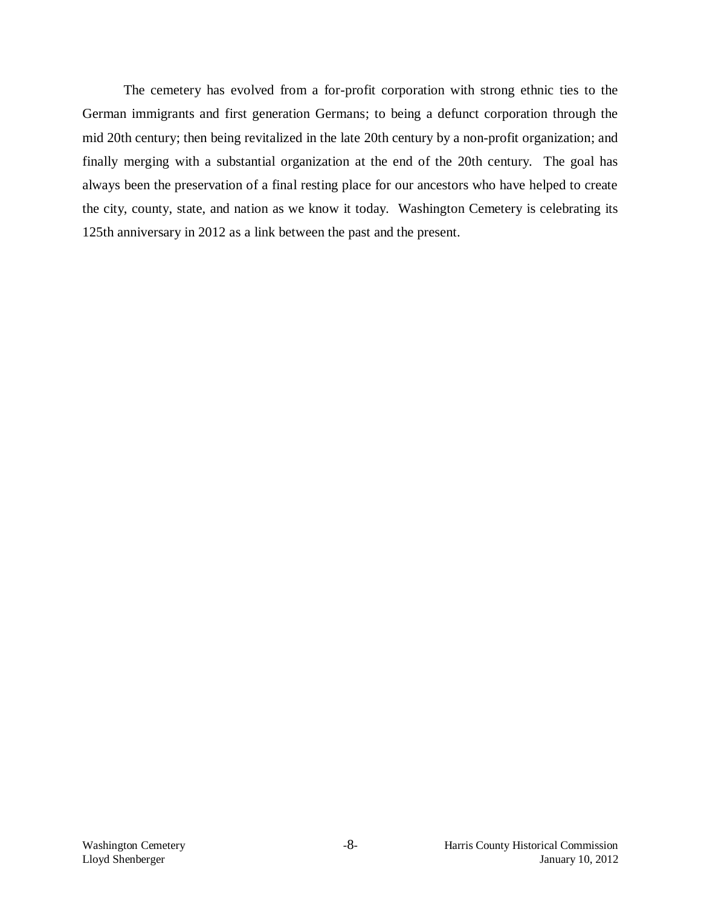The cemetery has evolved from a for-profit corporation with strong ethnic ties to the German immigrants and first generation Germans; to being a defunct corporation through the mid 20th century; then being revitalized in the late 20th century by a non-profit organization; and finally merging with a substantial organization at the end of the 20th century. The goal has always been the preservation of a final resting place for our ancestors who have helped to create the city, county, state, and nation as we know it today. Washington Cemetery is celebrating its 125th anniversary in 2012 as a link between the past and the present.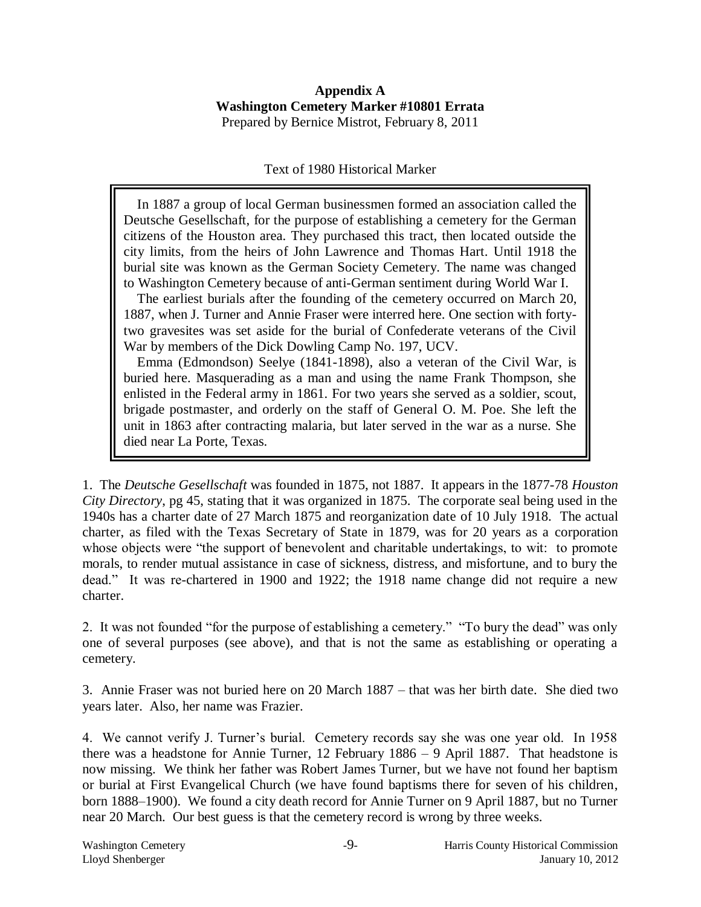#### **Appendix A Washington Cemetery Marker #10801 Errata**  Prepared by Bernice Mistrot, February 8, 2011

### Text of 1980 Historical Marker

 In 1887 a group of local German businessmen formed an association called the Deutsche Gesellschaft, for the purpose of establishing a cemetery for the German citizens of the Houston area. They purchased this tract, then located outside the city limits, from the heirs of John Lawrence and Thomas Hart. Until 1918 the burial site was known as the German Society Cemetery. The name was changed to Washington Cemetery because of anti-German sentiment during World War I.

 The earliest burials after the founding of the cemetery occurred on March 20, 1887, when J. Turner and Annie Fraser were interred here. One section with fortytwo gravesites was set aside for the burial of Confederate veterans of the Civil War by members of the Dick Dowling Camp No. 197, UCV.

 Emma (Edmondson) Seelye (1841-1898), also a veteran of the Civil War, is buried here. Masquerading as a man and using the name Frank Thompson, she enlisted in the Federal army in 1861. For two years she served as a soldier, scout, brigade postmaster, and orderly on the staff of General O. M. Poe. She left the unit in 1863 after contracting malaria, but later served in the war as a nurse. She died near La Porte, Texas.

1. The *Deutsche Gesellschaft* was founded in 1875, not 1887. It appears in the 1877-78 *Houston City Directory*, pg 45, stating that it was organized in 1875. The corporate seal being used in the 1940s has a charter date of 27 March 1875 and reorganization date of 10 July 1918. The actual charter, as filed with the Texas Secretary of State in 1879, was for 20 years as a corporation whose objects were "the support of benevolent and charitable undertakings, to wit: to promote morals, to render mutual assistance in case of sickness, distress, and misfortune, and to bury the dead." It was re-chartered in 1900 and 1922; the 1918 name change did not require a new charter.

2. It was not founded "for the purpose of establishing a cemetery." "To bury the dead" was only one of several purposes (see above), and that is not the same as establishing or operating a cemetery.

3. Annie Fraser was not buried here on 20 March 1887 – that was her birth date. She died two years later. Also, her name was Frazier.

4. We cannot verify J. Turner's burial. Cemetery records say she was one year old. In 1958 there was a headstone for Annie Turner, 12 February 1886 – 9 April 1887. That headstone is now missing. We think her father was Robert James Turner, but we have not found her baptism or burial at First Evangelical Church (we have found baptisms there for seven of his children, born 1888–1900). We found a city death record for Annie Turner on 9 April 1887, but no Turner near 20 March. Our best guess is that the cemetery record is wrong by three weeks.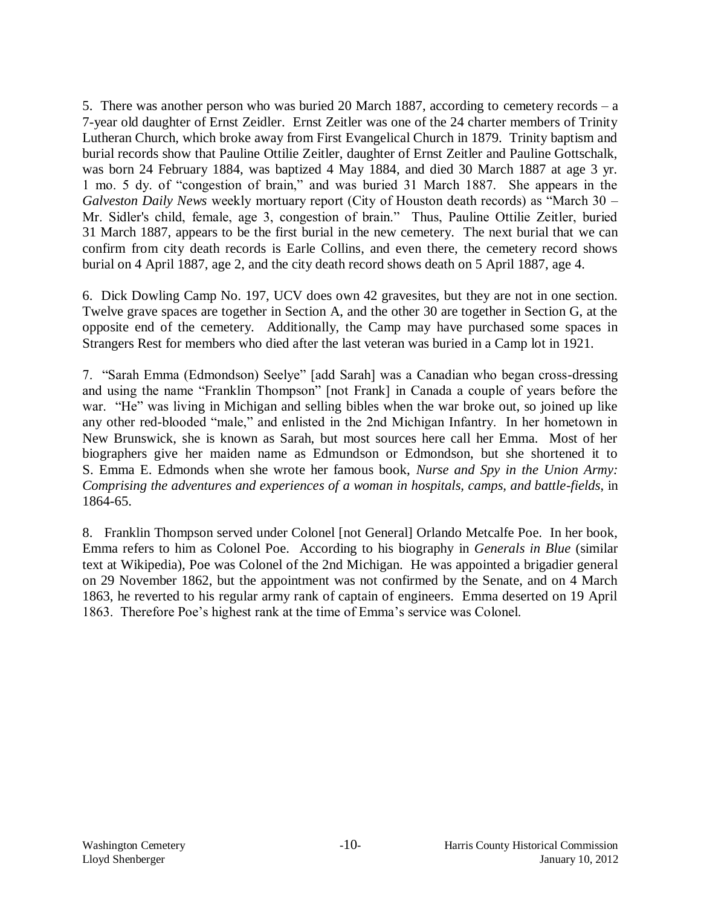5. There was another person who was buried 20 March 1887, according to cemetery records – a 7-year old daughter of Ernst Zeidler. Ernst Zeitler was one of the 24 charter members of Trinity Lutheran Church, which broke away from First Evangelical Church in 1879. Trinity baptism and burial records show that Pauline Ottilie Zeitler, daughter of Ernst Zeitler and Pauline Gottschalk, was born 24 February 1884, was baptized 4 May 1884, and died 30 March 1887 at age 3 yr. 1 mo. 5 dy. of "congestion of brain," and was buried 31 March 1887. She appears in the *Galveston Daily News* weekly mortuary report (City of Houston death records) as "March 30 – Mr. Sidler's child, female, age 3, congestion of brain." Thus, Pauline Ottilie Zeitler, buried 31 March 1887, appears to be the first burial in the new cemetery. The next burial that we can confirm from city death records is Earle Collins, and even there, the cemetery record shows burial on 4 April 1887, age 2, and the city death record shows death on 5 April 1887, age 4.

6. Dick Dowling Camp No. 197, UCV does own 42 gravesites, but they are not in one section. Twelve grave spaces are together in Section A, and the other 30 are together in Section G, at the opposite end of the cemetery. Additionally, the Camp may have purchased some spaces in Strangers Rest for members who died after the last veteran was buried in a Camp lot in 1921.

7. "Sarah Emma (Edmondson) Seelye" [add Sarah] was a Canadian who began cross-dressing and using the name "Franklin Thompson" [not Frank] in Canada a couple of years before the war. "He" was living in Michigan and selling bibles when the war broke out, so joined up like any other red-blooded "male," and enlisted in the 2nd Michigan Infantry. In her hometown in New Brunswick, she is known as Sarah, but most sources here call her Emma. Most of her biographers give her maiden name as Edmundson or Edmondson, but she shortened it to S. Emma E. Edmonds when she wrote her famous book, *Nurse and Spy in the Union Army: Comprising the adventures and experiences of a woman in hospitals, camps, and battle-fields*, in 1864-65.

8. Franklin Thompson served under Colonel [not General] Orlando Metcalfe Poe. In her book, Emma refers to him as Colonel Poe. According to his biography in *Generals in Blue* (similar text at Wikipedia), Poe was Colonel of the 2nd Michigan. He was appointed a brigadier general on 29 November 1862, but the appointment was not confirmed by the Senate, and on 4 March 1863, he reverted to his regular army rank of captain of engineers. Emma deserted on 19 April 1863. Therefore Poe's highest rank at the time of Emma's service was Colonel.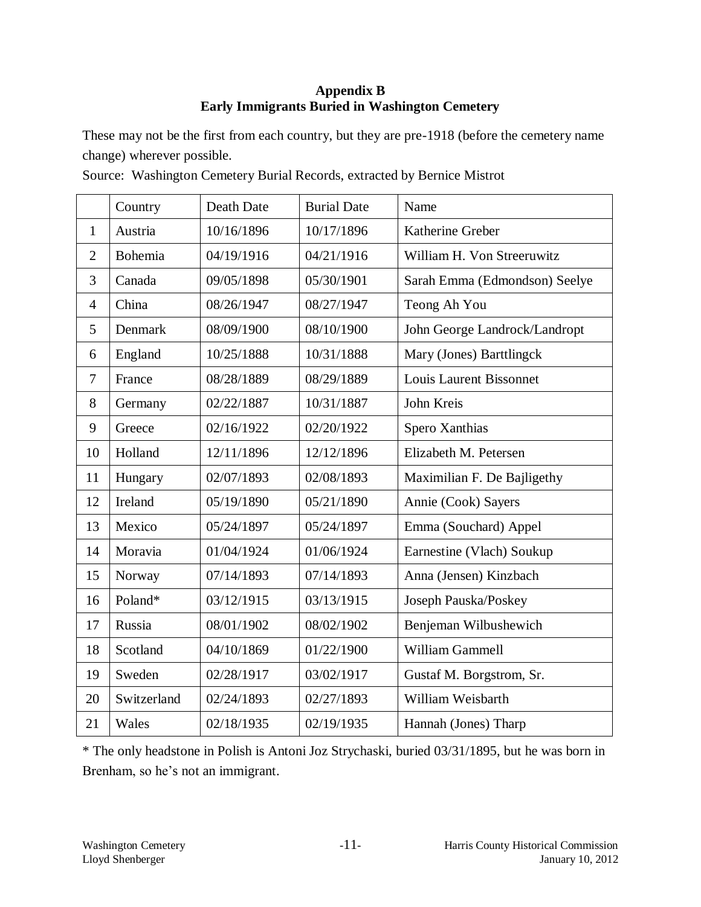### **Appendix B Early Immigrants Buried in Washington Cemetery**

These may not be the first from each country, but they are pre-1918 (before the cemetery name change) wherever possible.

|                | Country     | Death Date | <b>Burial Date</b> | Name                           |  |
|----------------|-------------|------------|--------------------|--------------------------------|--|
| $\mathbf{1}$   | Austria     | 10/16/1896 | 10/17/1896         | Katherine Greber               |  |
| $\overline{2}$ | Bohemia     | 04/19/1916 | 04/21/1916         | William H. Von Streeruwitz     |  |
| 3              | Canada      | 09/05/1898 | 05/30/1901         | Sarah Emma (Edmondson) Seelye  |  |
| $\overline{4}$ | China       | 08/26/1947 | 08/27/1947         | Teong Ah You                   |  |
| 5              | Denmark     | 08/09/1900 | 08/10/1900         | John George Landrock/Landropt  |  |
| 6              | England     | 10/25/1888 | 10/31/1888         | Mary (Jones) Barttlingck       |  |
| $\tau$         | France      | 08/28/1889 | 08/29/1889         | <b>Louis Laurent Bissonnet</b> |  |
| 8              | Germany     | 02/22/1887 | 10/31/1887         | John Kreis                     |  |
| 9              | Greece      | 02/16/1922 | 02/20/1922         | Spero Xanthias                 |  |
| 10             | Holland     | 12/11/1896 | 12/12/1896         | Elizabeth M. Petersen          |  |
| 11             | Hungary     | 02/07/1893 | 02/08/1893         | Maximilian F. De Bajligethy    |  |
| 12             | Ireland     | 05/19/1890 | 05/21/1890         | Annie (Cook) Sayers            |  |
| 13             | Mexico      | 05/24/1897 | 05/24/1897         | Emma (Souchard) Appel          |  |
| 14             | Moravia     | 01/04/1924 | 01/06/1924         | Earnestine (Vlach) Soukup      |  |
| 15             | Norway      | 07/14/1893 | 07/14/1893         | Anna (Jensen) Kinzbach         |  |
| 16             | Poland*     | 03/12/1915 | 03/13/1915         | Joseph Pauska/Poskey           |  |
| 17             | Russia      | 08/01/1902 | 08/02/1902         | Benjeman Wilbushewich          |  |
| 18             | Scotland    | 04/10/1869 | 01/22/1900         | William Gammell                |  |
| 19             | Sweden      | 02/28/1917 | 03/02/1917         | Gustaf M. Borgstrom, Sr.       |  |
| 20             | Switzerland | 02/24/1893 | 02/27/1893         | William Weisbarth              |  |
| 21             | Wales       | 02/18/1935 | 02/19/1935         | Hannah (Jones) Tharp           |  |

Source: Washington Cemetery Burial Records, extracted by Bernice Mistrot

\* The only headstone in Polish is Antoni Joz Strychaski, buried 03/31/1895, but he was born in Brenham, so he's not an immigrant.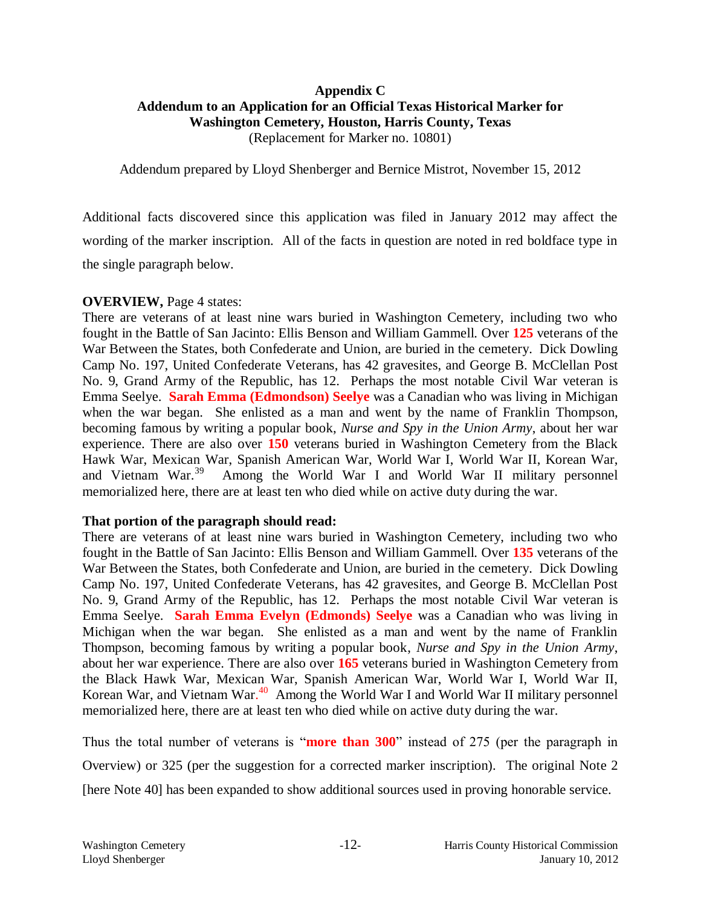### **Appendix C Addendum to an Application for an Official Texas Historical Marker for Washington Cemetery, Houston, Harris County, Texas** (Replacement for Marker no. 10801)

Addendum prepared by Lloyd Shenberger and Bernice Mistrot, November 15, 2012

Additional facts discovered since this application was filed in January 2012 may affect the wording of the marker inscription. All of the facts in question are noted in red boldface type in the single paragraph below.

#### **OVERVIEW,** Page 4 states:

There are veterans of at least nine wars buried in Washington Cemetery, including two who fought in the Battle of San Jacinto: Ellis Benson and William Gammell. Over **125** veterans of the War Between the States, both Confederate and Union, are buried in the cemetery. Dick Dowling Camp No. 197, United Confederate Veterans, has 42 gravesites, and George B. McClellan Post No. 9, Grand Army of the Republic, has 12. Perhaps the most notable Civil War veteran is Emma Seelye. **Sarah Emma (Edmondson) Seelye** was a Canadian who was living in Michigan when the war began. She enlisted as a man and went by the name of Franklin Thompson, becoming famous by writing a popular book, *Nurse and Spy in the Union Army*, about her war experience. There are also over **150** veterans buried in Washington Cemetery from the Black Hawk War, Mexican War, Spanish American War, World War I, World War II, Korean War, and Vietnam War.<sup>39</sup> Among the World War I and World War II military personnel memorialized here, there are at least ten who died while on active duty during the war.

#### **That portion of the paragraph should read:**

There are veterans of at least nine wars buried in Washington Cemetery, including two who fought in the Battle of San Jacinto: Ellis Benson and William Gammell. Over **135** veterans of the War Between the States, both Confederate and Union, are buried in the cemetery. Dick Dowling Camp No. 197, United Confederate Veterans, has 42 gravesites, and George B. McClellan Post No. 9, Grand Army of the Republic, has 12. Perhaps the most notable Civil War veteran is Emma Seelye. **Sarah Emma Evelyn (Edmonds) Seelye** was a Canadian who was living in Michigan when the war began. She enlisted as a man and went by the name of Franklin Thompson, becoming famous by writing a popular book, *Nurse and Spy in the Union Army*, about her war experience. There are also over **165** veterans buried in Washington Cemetery from the Black Hawk War, Mexican War, Spanish American War, World War I, World War II, Korean War, and Vietnam War.<sup>40</sup> Among the World War I and World War II military personnel memorialized here, there are at least ten who died while on active duty during the war.

Thus the total number of veterans is "**more than 300**" instead of 275 (per the paragraph in Overview) or 325 (per the suggestion for a corrected marker inscription). The original Note 2 [here Note 40] has been expanded to show additional sources used in proving honorable service.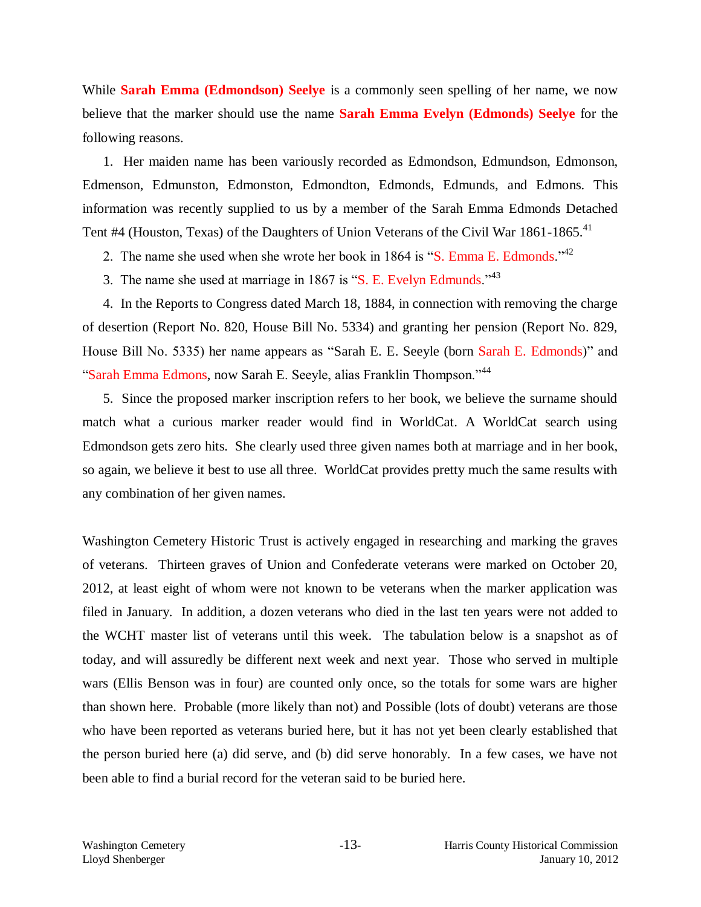While **Sarah Emma (Edmondson) Seelye** is a commonly seen spelling of her name, we now believe that the marker should use the name **Sarah Emma Evelyn (Edmonds) Seelye** for the following reasons.

1. Her maiden name has been variously recorded as Edmondson, Edmundson, Edmonson, Edmenson, Edmunston, Edmonston, Edmondton, Edmonds, Edmunds, and Edmons. This information was recently supplied to us by a member of the Sarah Emma Edmonds Detached Tent #4 (Houston, Texas) of the Daughters of Union Veterans of the Civil War  $1861$ -1865.<sup>41</sup>

2. The name she used when she wrote her book in 1864 is "S. Emma E. Edmonds."<sup>42</sup>

3. The name she used at marriage in 1867 is "S. E. Evelyn Edmunds."<sup>43</sup>

4. In the Reports to Congress dated March 18, 1884, in connection with removing the charge of desertion (Report No. 820, House Bill No. 5334) and granting her pension (Report No. 829, House Bill No. 5335) her name appears as "Sarah E. E. Seeyle (born Sarah E. Edmonds)" and "Sarah Emma Edmons, now Sarah E. Seeyle, alias Franklin Thompson."<sup>44</sup>

5. Since the proposed marker inscription refers to her book, we believe the surname should match what a curious marker reader would find in WorldCat. A WorldCat search using Edmondson gets zero hits. She clearly used three given names both at marriage and in her book, so again, we believe it best to use all three. WorldCat provides pretty much the same results with any combination of her given names.

Washington Cemetery Historic Trust is actively engaged in researching and marking the graves of veterans. Thirteen graves of Union and Confederate veterans were marked on October 20, 2012, at least eight of whom were not known to be veterans when the marker application was filed in January. In addition, a dozen veterans who died in the last ten years were not added to the WCHT master list of veterans until this week. The tabulation below is a snapshot as of today, and will assuredly be different next week and next year. Those who served in multiple wars (Ellis Benson was in four) are counted only once, so the totals for some wars are higher than shown here. Probable (more likely than not) and Possible (lots of doubt) veterans are those who have been reported as veterans buried here, but it has not yet been clearly established that the person buried here (a) did serve, and (b) did serve honorably. In a few cases, we have not been able to find a burial record for the veteran said to be buried here.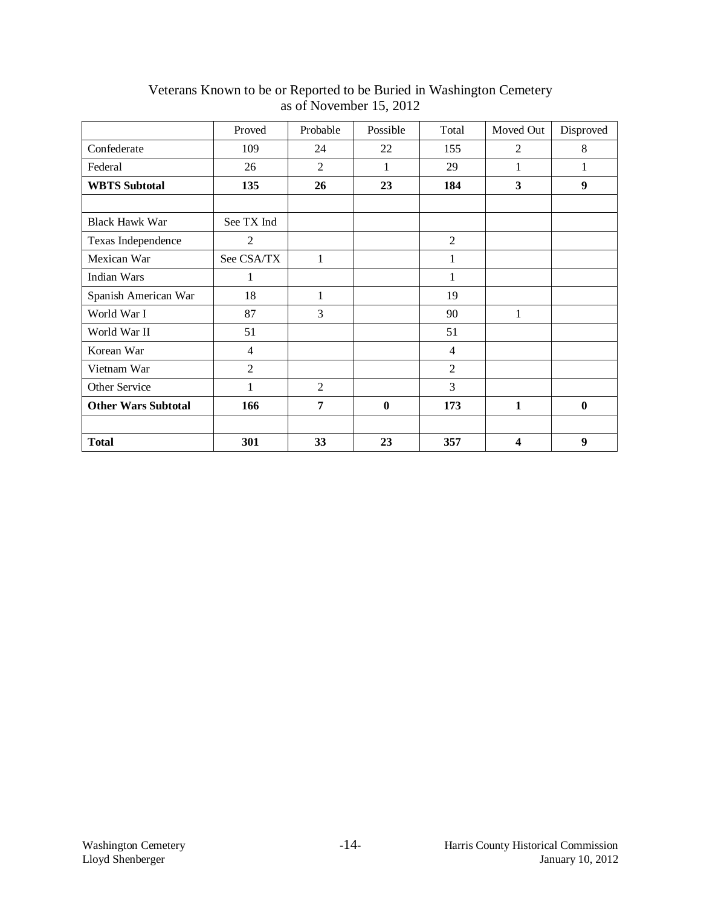|                            | Proved         | Probable       | Possible         | Total          | Moved Out        | Disproved |
|----------------------------|----------------|----------------|------------------|----------------|------------------|-----------|
| Confederate                | 109            | 24             | 22               | 155            | $\overline{2}$   | 8         |
| Federal                    | 26             | $\overline{2}$ | 1                | 29             | 1                | 1         |
| <b>WBTS</b> Subtotal       | 135            | 26             | 23               | 184            | 3                | 9         |
|                            |                |                |                  |                |                  |           |
| <b>Black Hawk War</b>      | See TX Ind     |                |                  |                |                  |           |
| Texas Independence         | 2              |                |                  | $\overline{2}$ |                  |           |
| Mexican War                | See CSA/TX     | 1              |                  | 1              |                  |           |
| Indian Wars                | 1              |                |                  | 1              |                  |           |
| Spanish American War       | 18             | 1              |                  | 19             |                  |           |
| World War I                | 87             | 3              |                  | 90             | 1                |           |
| World War II               | 51             |                |                  | 51             |                  |           |
| Korean War                 | $\overline{4}$ |                |                  | $\overline{4}$ |                  |           |
| Vietnam War                | $\overline{2}$ |                |                  | $\overline{2}$ |                  |           |
| Other Service              | 1              | $\overline{2}$ |                  | 3              |                  |           |
| <b>Other Wars Subtotal</b> | 166            | 7              | $\boldsymbol{0}$ | 173            | $\mathbf{1}$     | $\bf{0}$  |
|                            |                |                |                  |                |                  |           |
| <b>Total</b>               | 301            | 33             | 23               | 357            | $\boldsymbol{4}$ | 9         |

Veterans Known to be or Reported to be Buried in Washington Cemetery as of November 15, 2012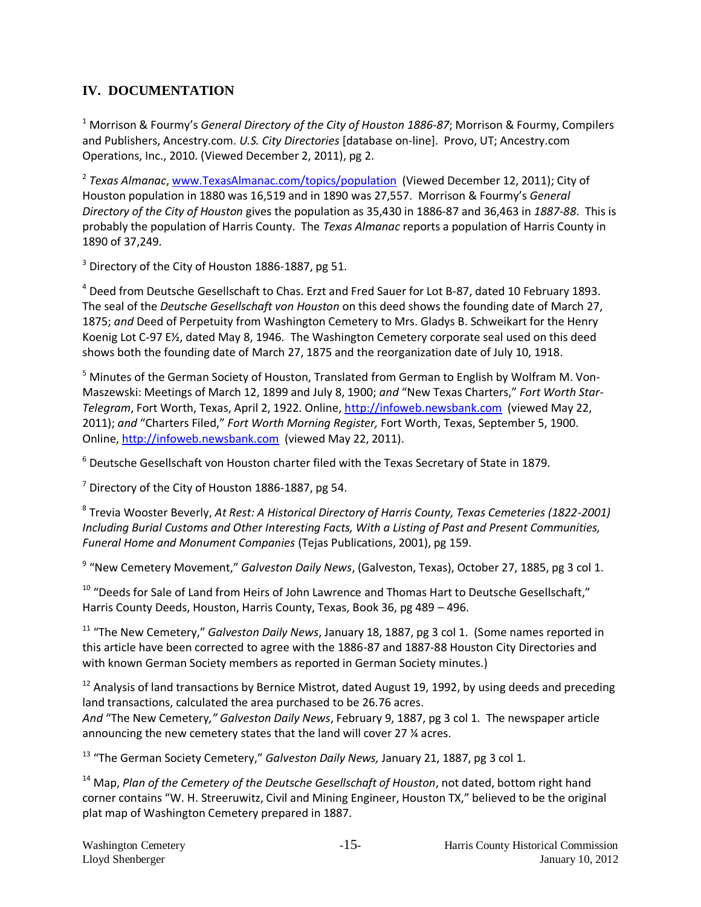## **IV. DOCUMENTATION**

<sup>1</sup> Morrison & Fourmy's *General Directory of the City of Houston 1886-87*; Morrison & Fourmy, Compilers and Publishers, Ancestry.com. *U.S. City Directories* [database on-line]. Provo, UT; Ancestry.com Operations, Inc., 2010. (Viewed December 2, 2011), pg 2.

2 *Texas Almanac*[, www.TexasAlmanac.com/topics/population](http://www.texasalmanac.com/topics/population) (Viewed December 12, 2011); City of Houston population in 1880 was 16,519 and in 1890 was 27,557. Morrison & Fourmy's *General Directory of the City of Houston* gives the population as 35,430 in 1886-87 and 36,463 in *1887-88*. This is probably the population of Harris County. The *Texas Almanac* reports a population of Harris County in 1890 of 37,249.

<sup>3</sup> Directory of the City of Houston 1886-1887, pg 51.

<sup>4</sup> Deed from Deutsche Gesellschaft to Chas. Erzt and Fred Sauer for Lot B-87, dated 10 February 1893. The seal of the *Deutsche Gesellschaft von Houston* on this deed shows the founding date of March 27, 1875; *and* Deed of Perpetuity from Washington Cemetery to Mrs. Gladys B. Schweikart for the Henry Koenig Lot C-97 E½, dated May 8, 1946. The Washington Cemetery corporate seal used on this deed shows both the founding date of March 27, 1875 and the reorganization date of July 10, 1918.

<sup>5</sup> Minutes of the German Society of Houston, Translated from German to English by Wolfram M. Von-Maszewski: Meetings of March 12, 1899 and July 8, 1900; *and* "New Texas Charters," *Fort Worth Star-Telegram*, Fort Worth, Texas, April 2, 1922. Online, [http://infoweb.newsbank.com](http://infoweb.newsbank.com/) (viewed May 22, 2011); *and* "Charters Filed," *Fort Worth Morning Register,* Fort Worth, Texas, September 5, 1900. Online[, http://infoweb.newsbank.com](http://infoweb.newsbank.com/) (viewed May 22, 2011).

<sup>6</sup> Deutsche Gesellschaft von Houston charter filed with the Texas Secretary of State in 1879.

 $7$  Directory of the City of Houston 1886-1887, pg 54.

8 Trevia Wooster Beverly, *At Rest: A Historical Directory of Harris County, Texas Cemeteries (1822-2001) Including Burial Customs and Other Interesting Facts, With a Listing of Past and Present Communities, Funeral Home and Monument Companies* (Tejas Publications, 2001), pg 159.

<sup>9</sup> "New Cemetery Movement," *Galveston Daily News*, (Galveston, Texas), October 27, 1885, pg 3 col 1.

 $10$  "Deeds for Sale of Land from Heirs of John Lawrence and Thomas Hart to Deutsche Gesellschaft," Harris County Deeds, Houston, Harris County, Texas, Book 36, pg 489 – 496.

<sup>11</sup> "The New Cemetery," *Galveston Daily News*, January 18, 1887, pg 3 col 1. (Some names reported in this article have been corrected to agree with the 1886-87 and 1887-88 Houston City Directories and with known German Society members as reported in German Society minutes.)

 $12$  Analysis of land transactions by Bernice Mistrot, dated August 19, 1992, by using deeds and preceding land transactions, calculated the area purchased to be 26.76 acres. *And* "The New Cemetery*," Galveston Daily News*, February 9, 1887, pg 3 col 1. The newspaper article announcing the new cemetery states that the land will cover 27 ¼ acres.

<sup>13</sup> "The German Society Cemetery," *Galveston Daily News*, January 21, 1887, pg 3 col 1.

<sup>14</sup> Map, *Plan of the Cemetery of the Deutsche Gesellschaft of Houston*, not dated, bottom right hand corner contains "W. H. Streeruwitz, Civil and Mining Engineer, Houston TX," believed to be the original plat map of Washington Cemetery prepared in 1887.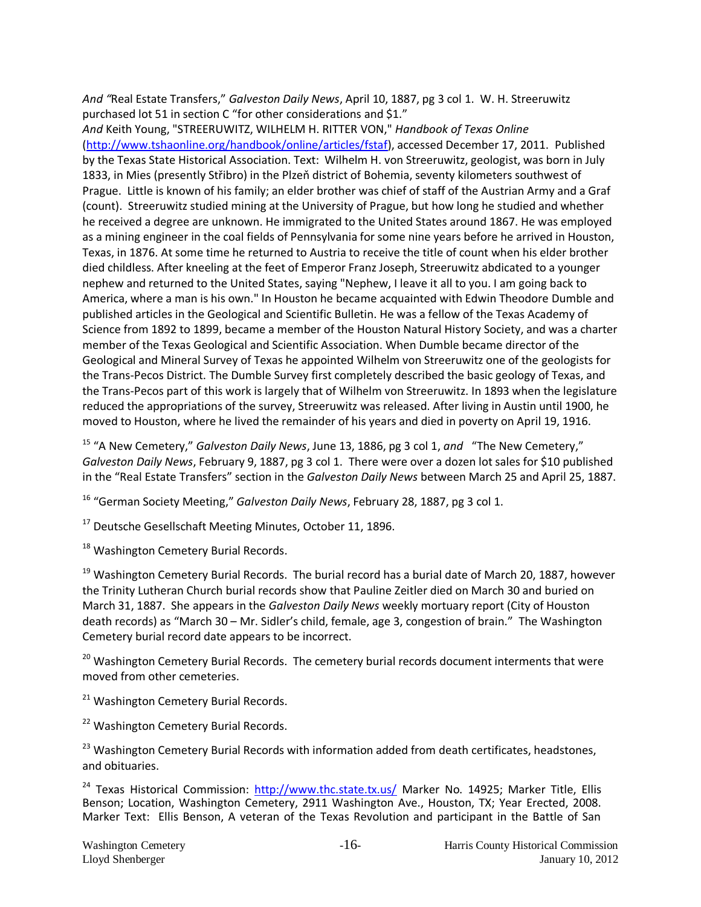*And "*Real Estate Transfers," *Galveston Daily News*, April 10, 1887, pg 3 col 1. W. H. Streeruwitz purchased lot 51 in section C "for other considerations and \$1."

*And* Keith Young, "STREERUWITZ, WILHELM H. RITTER VON," *Handbook of Texas Online* [\(http://www.tshaonline.org/handbook/online/articles/fstaf\)](http://www.tshaonline.org/handbook/online/articles/fstaf), accessed December 17, 2011. Published by the Texas State Historical Association. Text: Wilhelm H. von Streeruwitz, geologist, was born in July 1833, in Mies (presently Střibro) in the Plzeň district of Bohemia, seventy kilometers southwest of Prague. Little is known of his family; an elder brother was chief of staff of the Austrian Army and a Graf (count). Streeruwitz studied mining at the University of Prague, but how long he studied and whether he received a degree are unknown. He immigrated to the United States around 1867. He was employed as a mining engineer in the coal fields of Pennsylvania for some nine years before he arrived in Houston, Texas, in 1876. At some time he returned to Austria to receive the title of count when his elder brother died childless. After kneeling at the feet of Emperor Franz Joseph, Streeruwitz abdicated to a younger nephew and returned to the United States, saying "Nephew, I leave it all to you. I am going back to America, where a man is his own." In Houston he became acquainted with Edwin Theodore Dumble and published articles in the Geological and Scientific Bulletin. He was a fellow of the Texas Academy of Science from 1892 to 1899, became a member of the Houston Natural History Society, and was a charter member of the Texas Geological and Scientific Association. When Dumble became director of the Geological and Mineral Survey of Texas he appointed Wilhelm von Streeruwitz one of the geologists for the Trans-Pecos District. The Dumble Survey first completely described the basic geology of Texas, and the Trans-Pecos part of this work is largely that of Wilhelm von Streeruwitz. In 1893 when the legislature reduced the appropriations of the survey, Streeruwitz was released. After living in Austin until 1900, he moved to Houston, where he lived the remainder of his years and died in poverty on April 19, 1916.

<sup>15</sup> "A New Cemetery," *Galveston Daily News*, June 13, 1886, pg 3 col 1, *and* "The New Cemetery," *Galveston Daily News*, February 9, 1887, pg 3 col 1. There were over a dozen lot sales for \$10 published in the "Real Estate Transfers" section in the *Galveston Daily News* between March 25 and April 25, 1887.

<sup>16</sup> "German Society Meeting," *Galveston Daily News*, February 28, 1887, pg 3 col 1.

<sup>17</sup> Deutsche Gesellschaft Meeting Minutes, October 11, 1896.

<sup>18</sup> Washington Cemetery Burial Records.

 $19$  Washington Cemetery Burial Records. The burial record has a burial date of March 20, 1887, however the Trinity Lutheran Church burial records show that Pauline Zeitler died on March 30 and buried on March 31, 1887. She appears in the *Galveston Daily News* weekly mortuary report (City of Houston death records) as "March 30 – Mr. Sidler's child, female, age 3, congestion of brain." The Washington Cemetery burial record date appears to be incorrect.

<sup>20</sup> Washington Cemetery Burial Records. The cemetery burial records document interments that were moved from other cemeteries.

<sup>21</sup> Washington Cemetery Burial Records.

<sup>22</sup> Washington Cemetery Burial Records.

<sup>23</sup> Washington Cemetery Burial Records with information added from death certificates, headstones, and obituaries.

<sup>24</sup> Texas Historical Commission:<http://www.thc.state.tx.us/> Marker No. 14925; Marker Title, Ellis Benson; Location, Washington Cemetery, 2911 Washington Ave., Houston, TX; Year Erected, 2008. Marker Text: Ellis Benson, A veteran of the Texas Revolution and participant in the Battle of San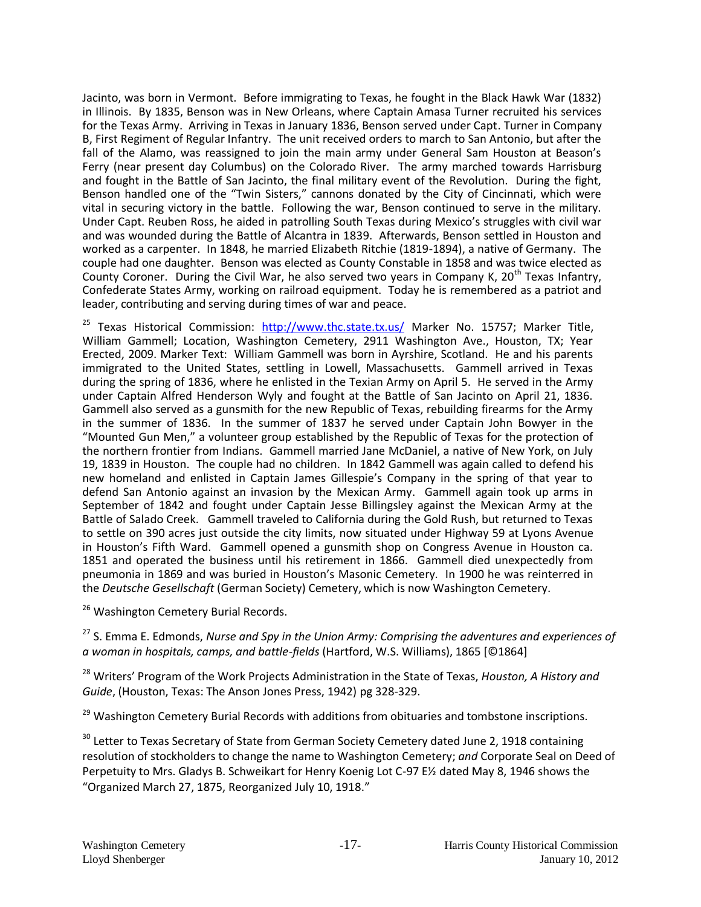Jacinto, was born in Vermont. Before immigrating to Texas, he fought in the Black Hawk War (1832) in Illinois. By 1835, Benson was in New Orleans, where Captain Amasa Turner recruited his services for the Texas Army. Arriving in Texas in January 1836, Benson served under Capt. Turner in Company B, First Regiment of Regular Infantry. The unit received orders to march to San Antonio, but after the fall of the Alamo, was reassigned to join the main army under General Sam Houston at Beason's Ferry (near present day Columbus) on the Colorado River. The army marched towards Harrisburg and fought in the Battle of San Jacinto, the final military event of the Revolution. During the fight, Benson handled one of the "Twin Sisters," cannons donated by the City of Cincinnati, which were vital in securing victory in the battle. Following the war, Benson continued to serve in the military. Under Capt. Reuben Ross, he aided in patrolling South Texas during Mexico's struggles with civil war and was wounded during the Battle of Alcantra in 1839. Afterwards, Benson settled in Houston and worked as a carpenter. In 1848, he married Elizabeth Ritchie (1819-1894), a native of Germany. The couple had one daughter. Benson was elected as County Constable in 1858 and was twice elected as County Coroner. During the Civil War, he also served two years in Company K,  $20<sup>th</sup>$  Texas Infantry, Confederate States Army, working on railroad equipment. Today he is remembered as a patriot and leader, contributing and serving during times of war and peace.

<sup>25</sup> Texas Historical Commission: <http://www.thc.state.tx.us/> Marker No. 15757; Marker Title, William Gammell; Location, Washington Cemetery, 2911 Washington Ave., Houston, TX; Year Erected, 2009. Marker Text: William Gammell was born in Ayrshire, Scotland. He and his parents immigrated to the United States, settling in Lowell, Massachusetts. Gammell arrived in Texas during the spring of 1836, where he enlisted in the Texian Army on April 5. He served in the Army under Captain Alfred Henderson Wyly and fought at the Battle of San Jacinto on April 21, 1836. Gammell also served as a gunsmith for the new Republic of Texas, rebuilding firearms for the Army in the summer of 1836. In the summer of 1837 he served under Captain John Bowyer in the "Mounted Gun Men," a volunteer group established by the Republic of Texas for the protection of the northern frontier from Indians. Gammell married Jane McDaniel, a native of New York, on July 19, 1839 in Houston. The couple had no children. In 1842 Gammell was again called to defend his new homeland and enlisted in Captain James Gillespie's Company in the spring of that year to defend San Antonio against an invasion by the Mexican Army. Gammell again took up arms in September of 1842 and fought under Captain Jesse Billingsley against the Mexican Army at the Battle of Salado Creek. Gammell traveled to California during the Gold Rush, but returned to Texas to settle on 390 acres just outside the city limits, now situated under Highway 59 at Lyons Avenue in Houston's Fifth Ward. Gammell opened a gunsmith shop on Congress Avenue in Houston ca. 1851 and operated the business until his retirement in 1866. Gammell died unexpectedly from pneumonia in 1869 and was buried in Houston's Masonic Cemetery. In 1900 he was reinterred in the *Deutsche Gesellschaft* (German Society) Cemetery, which is now Washington Cemetery.

<sup>26</sup> Washington Cemetery Burial Records.

<sup>27</sup> S. Emma E. Edmonds, *Nurse and Spy in the Union Army: Comprising the adventures and experiences of a woman in hospitals, camps, and battle-fields* (Hartford, W.S. Williams), 1865 [©1864]

<sup>28</sup> Writers' Program of the Work Projects Administration in the State of Texas, *Houston, A History and Guide*, (Houston, Texas: The Anson Jones Press, 1942) pg 328-329.

<sup>29</sup> Washington Cemetery Burial Records with additions from obituaries and tombstone inscriptions.

<sup>30</sup> Letter to Texas Secretary of State from German Society Cemetery dated June 2, 1918 containing resolution of stockholders to change the name to Washington Cemetery; *and* Corporate Seal on Deed of Perpetuity to Mrs. Gladys B. Schweikart for Henry Koenig Lot C-97 E½ dated May 8, 1946 shows the "Organized March 27, 1875, Reorganized July 10, 1918."